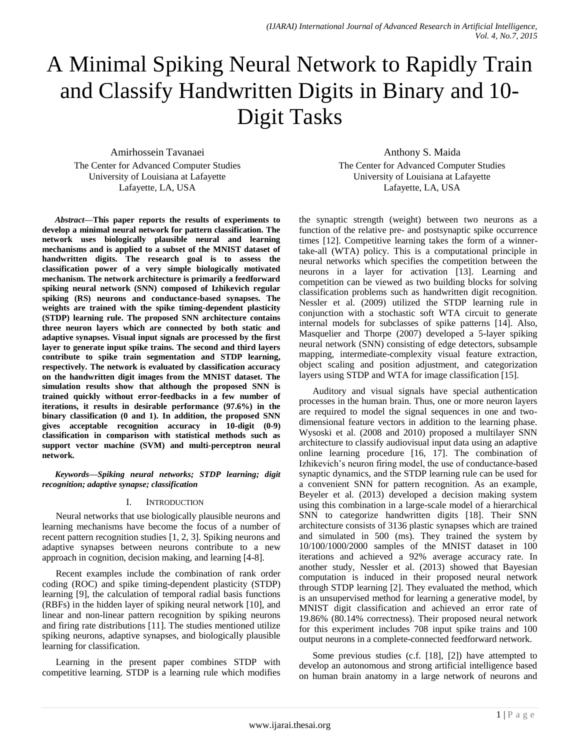# A Minimal Spiking Neural Network to Rapidly Train and Classify Handwritten Digits in Binary and 10- Digit Tasks

Amirhossein Tavanaei The Center for Advanced Computer Studies University of Louisiana at Lafayette Lafayette, LA, USA

Anthony S. Maida The Center for Advanced Computer Studies University of Louisiana at Lafayette Lafayette, LA, USA

*Abstract***—This paper reports the results of experiments to develop a minimal neural network for pattern classification. The network uses biologically plausible neural and learning mechanisms and is applied to a subset of the MNIST dataset of handwritten digits. The research goal is to assess the classification power of a very simple biologically motivated mechanism. The network architecture is primarily a feedforward spiking neural network (SNN) composed of Izhikevich regular spiking (RS) neurons and conductance-based synapses. The weights are trained with the spike timing-dependent plasticity (STDP) learning rule. The proposed SNN architecture contains three neuron layers which are connected by both static and adaptive synapses. Visual input signals are processed by the first layer to generate input spike trains. The second and third layers contribute to spike train segmentation and STDP learning, respectively. The network is evaluated by classification accuracy on the handwritten digit images from the MNIST dataset. The simulation results show that although the proposed SNN is trained quickly without error-feedbacks in a few number of iterations, it results in desirable performance (97.6%) in the binary classification (0 and 1). In addition, the proposed SNN gives acceptable recognition accuracy in 10-digit (0-9) classification in comparison with statistical methods such as support vector machine (SVM) and multi-perceptron neural network.**

*Keywords—Spiking neural networks; STDP learning; digit recognition; adaptive synapse; classification*

## I. INTRODUCTION

Neural networks that use biologically plausible neurons and learning mechanisms have become the focus of a number of recent pattern recognition studies [1, 2, 3]. Spiking neurons and adaptive synapses between neurons contribute to a new approach in cognition, decision making, and learning [4-8].

Recent examples include the combination of rank order coding (ROC) and spike timing-dependent plasticity (STDP) learning [9], the calculation of temporal radial basis functions (RBFs) in the hidden layer of spiking neural network [10], and linear and non-linear pattern recognition by spiking neurons and firing rate distributions [11]. The studies mentioned utilize spiking neurons, adaptive synapses, and biologically plausible learning for classification.

Learning in the present paper combines STDP with competitive learning. STDP is a learning rule which modifies the synaptic strength (weight) between two neurons as a function of the relative pre- and postsynaptic spike occurrence times [12]. Competitive learning takes the form of a winnertake-all (WTA) policy. This is a computational principle in neural networks which specifies the competition between the neurons in a layer for activation [13]. Learning and competition can be viewed as two building blocks for solving classification problems such as handwritten digit recognition. Nessler et al. (2009) utilized the STDP learning rule in conjunction with a stochastic soft WTA circuit to generate internal models for subclasses of spike patterns [14]. Also, Masquelier and Thorpe (2007) developed a 5-layer spiking neural network (SNN) consisting of edge detectors, subsample mapping, intermediate-complexity visual feature extraction, object scaling and position adjustment, and categorization layers using STDP and WTA for image classification [15].

Auditory and visual signals have special authentication processes in the human brain. Thus, one or more neuron layers are required to model the signal sequences in one and twodimensional feature vectors in addition to the learning phase. Wysoski et al. (2008 and 2010) proposed a multilayer SNN architecture to classify audiovisual input data using an adaptive online learning procedure [16, 17]. The combination of Izhikevich's neuron firing model, the use of conductance-based synaptic dynamics, and the STDP learning rule can be used for a convenient SNN for pattern recognition. As an example, Beyeler et al. (2013) developed a decision making system using this combination in a large-scale model of a hierarchical SNN to categorize handwritten digits [18]. Their SNN architecture consists of 3136 plastic synapses which are trained and simulated in 500 (ms). They trained the system by 10/100/1000/2000 samples of the MNIST dataset in 100 iterations and achieved a 92% average accuracy rate. In another study, Nessler et al. (2013) showed that Bayesian computation is induced in their proposed neural network through STDP learning [2]. They evaluated the method, which is an unsupervised method for learning a generative model, by MNIST digit classification and achieved an error rate of 19.86% (80.14% correctness). Their proposed neural network for this experiment includes 708 input spike trains and 100 output neurons in a complete-connected feedforward network.

Some previous studies (c.f. [18], [2]) have attempted to develop an autonomous and strong artificial intelligence based on human brain anatomy in a large network of neurons and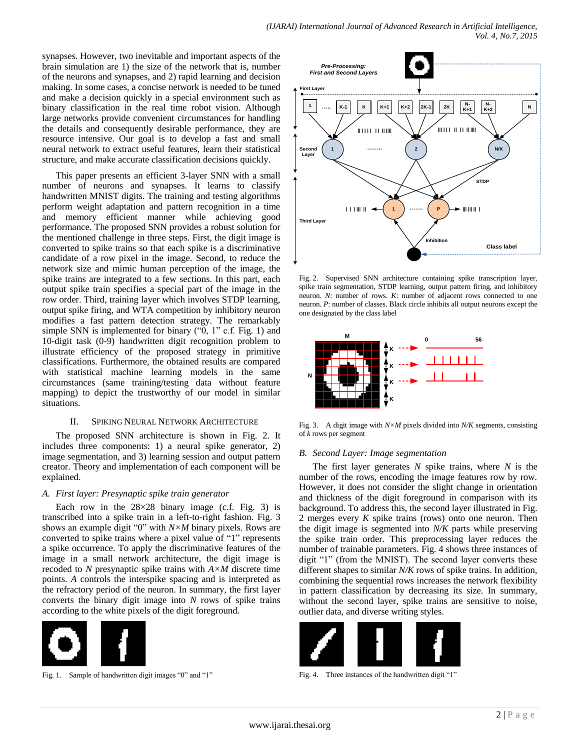synapses. However, two inevitable and important aspects of the brain simulation are 1) the size of the network that is, number of the neurons and synapses, and 2) rapid learning and decision making. In some cases, a concise network is needed to be tuned and make a decision quickly in a special environment such as binary classification in the real time robot vision. Although large networks provide convenient circumstances for handling the details and consequently desirable performance, they are resource intensive. Our goal is to develop a fast and small neural network to extract useful features, learn their statistical structure, and make accurate classification decisions quickly.

This paper presents an efficient 3-layer SNN with a small number of neurons and synapses. It learns to classify handwritten MNIST digits. The training and testing algorithms perform weight adaptation and pattern recognition in a time and memory efficient manner while achieving good performance. The proposed SNN provides a robust solution for the mentioned challenge in three steps. First, the digit image is converted to spike trains so that each spike is a discriminative candidate of a row pixel in the image. Second, to reduce the network size and mimic human perception of the image, the spike trains are integrated to a few sections. In this part, each output spike train specifies a special part of the image in the row order. Third, training layer which involves STDP learning, output spike firing, and WTA competition by inhibitory neuron modifies a fast pattern detection strategy. The remarkably simple SNN is implemented for binary ("0, 1" c.f. Fig. 1) and 10-digit task (0-9) handwritten digit recognition problem to illustrate efficiency of the proposed strategy in primitive classifications. Furthermore, the obtained results are compared with statistical machine learning models in the same circumstances (same training/testing data without feature mapping) to depict the trustworthy of our model in similar situations.

## II. SPIKING NEURAL NETWORK ARCHITECTURE

The proposed SNN architecture is shown in Fig. 2. It includes three components: 1) a neural spike generator, 2) image segmentation, and 3) learning session and output pattern creator. Theory and implementation of each component will be explained.

## *A. First layer: Presynaptic spike train generator*

Each row in the  $28\times28$  binary image (c.f. Fig. 3) is transcribed into a spike train in a left-to-right fashion. Fig. 3 shows an example digit "0" with *N×M* binary pixels. Rows are converted to spike trains where a pixel value of "1" represents a spike occurrence. To apply the discriminative features of the image in a small network architecture, the digit image is recoded to *N* presynaptic spike trains with *A×M* discrete time points. *A* controls the interspike spacing and is interpreted as the refractory period of the neuron. In summary, the first layer converts the binary digit image into *N* rows of spike trains according to the white pixels of the digit foreground.



Fig. 1. Sample of handwritten digit images "0" and "1"



Fig. 2. Supervised SNN architecture containing spike transcription layer, spike train segmentation, STDP learning, output pattern firing, and inhibitory neuron. *N*: number of rows. *K*: number of adjacent rows connected to one neuron. *P*: number of classes. Black circle inhibits all output neurons except the one designated by the class label



Fig. 3. A digit image with *N×M* pixels divided into *N/K* segments, consisting of *k* rows per segment

## *B. Second Layer: Image segmentation*

The first layer generates *N* spike trains, where *N* is the number of the rows, encoding the image features row by row. However, it does not consider the slight change in orientation and thickness of the digit foreground in comparison with its background. To address this, the second layer illustrated in Fig. 2 merges every *K* spike trains (rows) onto one neuron. Then the digit image is segmented into *N/K* parts while preserving the spike train order. This preprocessing layer reduces the number of trainable parameters. Fig. 4 shows three instances of digit "1" (from the MNIST). The second layer converts these different shapes to similar *N/K* rows of spike trains. In addition, combining the sequential rows increases the network flexibility in pattern classification by decreasing its size. In summary, without the second layer, spike trains are sensitive to noise, outlier data, and diverse writing styles.



Fig. 4. Three instances of the handwritten digit "1"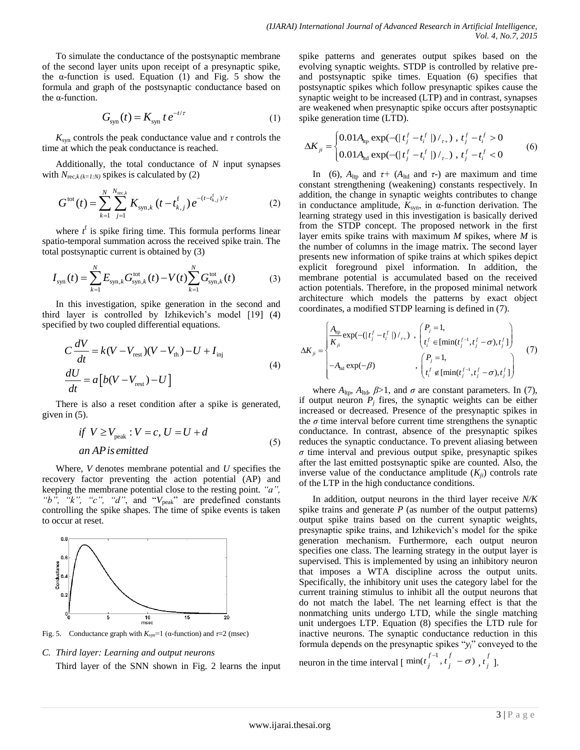To simulate the conductance of the postsynaptic membrane of the second layer units upon receipt of a presynaptic spike, the  $\alpha$ -function is used. Equation (1) and Fig. 5 show the formula and graph of the postsynaptic conductance based on the α-function.

$$
G_{\rm syn}(t) = K_{\rm syn} t e^{-t/\tau} \tag{1}
$$

 $K_{syn}$  controls the peak conductance value and  $\tau$  controls the time at which the peak conductance is reached.

Additionally, the total conductance of *N* input synapses

with 
$$
N_{\text{rec},k(k=1:N)}
$$
 spikes is calculated by (2)  
\n
$$
G^{\text{tot}}(t) = \sum_{k=1}^{N} \sum_{j=1}^{N_{\text{rec},k}} K_{\text{syn},k} (t - t_{k,j}^{\text{f}}) e^{-(t - t_{k,j}^{\text{f}})/\tau}
$$
\n(2)

where  $t<sup>f</sup>$  is spike firing time. This formula performs linear spatio-temporal summation across the received spike train. The

total postsynaptic current is obtained by (3)  
\n
$$
I_{syn}(t) = \sum_{k=1}^{N} E_{syn,k} G_{syn,k}^{\text{tot}}(t) - V(t) \sum_{k=1}^{N} G_{syn,k}^{\text{tot}}(t)
$$
\n(3)

In this investigation, spike generation in the second and third layer is controlled by Izhikevich's model [19] (4) specified by two coupled differential equations.

$$
C\frac{dV}{dt} = k(V - V_{\text{rest}})(V - V_{\text{th}}) - U + I_{\text{inj}}
$$
  
\n
$$
\frac{dU}{dt} = a[b(V - V_{\text{rest}}) - U]
$$
\n(4)

There is also a reset condition after a spike is generated, given in (5).

if 
$$
V \ge V_{\text{peak}}
$$
:  $V = c$ ,  $U = U + d$   
an AP is emitted\t\t(5)

Where, *V* denotes membrane potential and *U* specifies the recovery factor preventing the action potential (AP) and keeping the membrane potential close to the resting point. *"a",*  "b", "k", "c", "d", and "V<sub>peak</sub>" are predefined constants controlling the spike shapes. The time of spike events is taken to occur at reset.



Fig. 5. Conductance graph with  $K_{syn}$ =1 (α-function) and  $τ=2$  (msec)

#### *C. Third layer: Learning and output neurons*

Third layer of the SNN shown in Fig. 2 learns the input

spike patterns and generates output spikes based on the evolving synaptic weights. STDP is controlled by relative preand postsynaptic spike times. Equation (6) specifies that postsynaptic spikes which follow presynaptic spikes cause the synaptic weight to be increased (LTP) and in contrast, synapses are weakened when presynaptic spike occurs after postsynaptic

spike generation time (LTD).  
\n
$$
\Delta K_{ji} = \begin{cases}\n0.01 A_{\text{ltp}} \exp(-(|t_j^f - t_i^f|) /_{\tau+}), t_j^f - t_i^f > 0 \\
0.01 A_{\text{ltd}} \exp(-(|t_j^f - t_i^f|) /_{\tau-}), t_j^f - t_i^f < 0\n\end{cases}
$$
\n(6)

In (6),  $A_{\text{lip}}$  and  $\tau$ + ( $A_{\text{Ind}}$  and  $\tau$ -) are maximum and time constant strengthening (weakening) constants respectively. In addition, the change in synaptic weights contributes to change in conductance amplitude,  $K_{syn}$ , in  $\alpha$ -function derivation. The learning strategy used in this investigation is basically derived from the STDP concept. The proposed network in the first layer emits spike trains with maximum *M* spikes, where *M* is the number of columns in the image matrix. The second layer presents new information of spike trains at which spikes depict explicit foreground pixel information. In addition, the membrane potential is accumulated based on the received action potentials. Therefore, in the proposed minimal network architecture which models the patterns by exact object

coordinates, a modified STDP learning is defined in (7).  
\n
$$
\Delta K_{ji} = \begin{cases}\n\frac{A_{\text{tip}}}{K_{ji}} \exp(-(|t_j^f - t_i^f|)_{t+1}^f), \begin{pmatrix} P_j = 1, \\ t_i^f \in [\min(t_j^{f-1}, t_j^f - \sigma), t_j^f] \end{pmatrix} \\
-A_{\text{Ind}} \exp(-\beta) \end{cases}
$$
\n
$$
\left(\begin{matrix} P_j = 1, \\ t_i^f \notin [\min(t_j^{f-1}, t_j^f - \sigma), t_j^f] \end{matrix}\right)
$$
\n(7)

where  $A_{\text{ltp}}$ ,  $A_{\text{ltd}}$ ,  $\beta > 1$ , and  $\sigma$  are constant parameters. In (7), if output neuron  $P_j$  fires, the synaptic weights can be either increased or decreased. Presence of the presynaptic spikes in the  $\sigma$  time interval before current time strengthens the synaptic conductance. In contrast, absence of the presynaptic spikes reduces the synaptic conductance. To prevent aliasing between  $\sigma$  time interval and previous output spike, presynaptic spikes after the last emitted postsynaptic spike are counted. Also, the inverse value of the conductance amplitude  $(K_{ii})$  controls rate of the LTP in the high conductance conditions.

In addition, output neurons in the third layer receive *N/K* spike trains and generate  $P$  (as number of the output patterns) output spike trains based on the current synaptic weights, presynaptic spike trains, and Izhikevich's model for the spike generation mechanism. Furthermore, each output neuron specifies one class. The learning strategy in the output layer is supervised. This is implemented by using an inhibitory neuron that imposes a WTA discipline across the output units. Specifically, the inhibitory unit uses the category label for the current training stimulus to inhibit all the output neurons that do not match the label. The net learning effect is that the nonmatching units undergo LTD, while the single matching unit undergoes LTP. Equation (8) specifies the LTD rule for inactive neurons. The synaptic conductance reduction in this formula depends on the presynaptic spikes "*yi*" conveyed to the

neuron in the time interval  $\left[\begin{array}{c} \min(t_j^{f-1}, t_j^f - \sigma) \\ t_j \end{array}\right]$ *j t* ].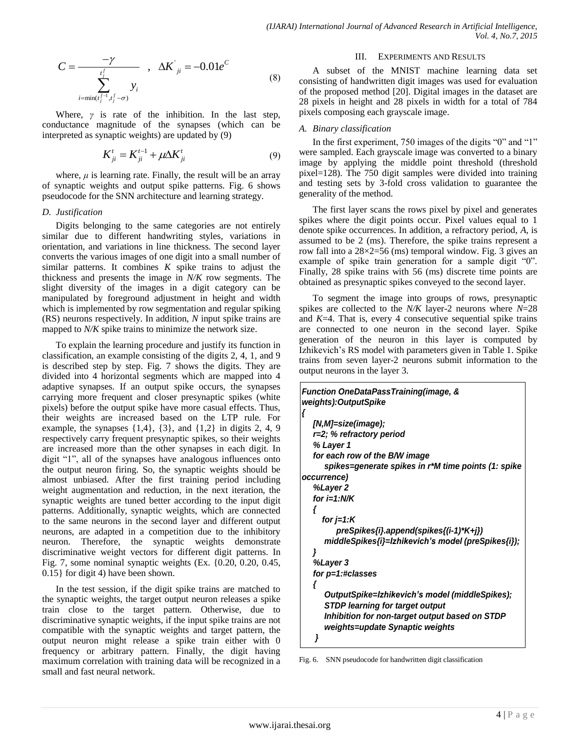$$
C = \frac{-\gamma}{\sum_{\substack{i,j' \\ i = \min(i_j^{j-1}, t_j^j - \sigma)}}^{\gamma} y_i}, \quad \Delta K^{'j} = -0.01 e^{C}
$$
 (8)

Where,  $\gamma$  is rate of the inhibition. In the last step, conductance magnitude of the synapses (which can be interpreted as synaptic weights) are updated by (9)

$$
K_{ji}^{t} = K_{ji}^{t-1} + \mu \Delta K_{ji}^{t}
$$
 (9)

where,  $\mu$  is learning rate. Finally, the result will be an array of synaptic weights and output spike patterns. Fig. 6 shows pseudocode for the SNN architecture and learning strategy.

## *D. Justification*

Digits belonging to the same categories are not entirely similar due to different handwriting styles, variations in orientation, and variations in line thickness. The second layer converts the various images of one digit into a small number of similar patterns. It combines *K* spike trains to adjust the thickness and presents the image in *N/K* row segments. The slight diversity of the images in a digit category can be manipulated by foreground adjustment in height and width which is implemented by row segmentation and regular spiking (RS) neurons respectively. In addition, *N* input spike trains are mapped to *N/K* spike trains to minimize the network size.

To explain the learning procedure and justify its function in classification, an example consisting of the digits 2, 4, 1, and 9 is described step by step. Fig. 7 shows the digits. They are divided into 4 horizontal segments which are mapped into 4 adaptive synapses. If an output spike occurs, the synapses carrying more frequent and closer presynaptic spikes (white pixels) before the output spike have more casual effects. Thus, their weights are increased based on the LTP rule. For example, the synapses  $\{1,4\}$ ,  $\{3\}$ , and  $\{1,2\}$  in digits 2, 4, 9 respectively carry frequent presynaptic spikes, so their weights are increased more than the other synapses in each digit. In digit "1", all of the synapses have analogous influences onto the output neuron firing. So, the synaptic weights should be almost unbiased. After the first training period including weight augmentation and reduction, in the next iteration, the synaptic weights are tuned better according to the input digit patterns. Additionally, synaptic weights, which are connected to the same neurons in the second layer and different output neurons, are adapted in a competition due to the inhibitory neuron. Therefore, the synaptic weights demonstrate discriminative weight vectors for different digit patterns. In Fig. 7, some nominal synaptic weights (Ex. {0.20, 0.20, 0.45, 0.15} for digit 4) have been shown.

In the test session, if the digit spike trains are matched to the synaptic weights, the target output neuron releases a spike train close to the target pattern. Otherwise, due to discriminative synaptic weights, if the input spike trains are not compatible with the synaptic weights and target pattern, the output neuron might release a spike train either with 0 frequency or arbitrary pattern. Finally, the digit having maximum correlation with training data will be recognized in a small and fast neural network.

#### III. EXPERIMENTS AND RESULTS

A subset of the MNIST machine learning data set consisting of handwritten digit images was used for evaluation of the proposed method [20]. Digital images in the dataset are 28 pixels in height and 28 pixels in width for a total of 784 pixels composing each grayscale image.

### *A. Binary classification*

In the first experiment, 750 images of the digits "0" and "1" were sampled. Each grayscale image was converted to a binary image by applying the middle point threshold (threshold pixel=128). The 750 digit samples were divided into training and testing sets by 3-fold cross validation to guarantee the generality of the method.

The first layer scans the rows pixel by pixel and generates spikes where the digit points occur. Pixel values equal to 1 denote spike occurrences. In addition, a refractory period, *A*, is assumed to be 2 (ms). Therefore, the spike trains represent a row fall into a  $28\times2=56$  (ms) temporal window. Fig. 3 gives an example of spike train generation for a sample digit "0". Finally, 28 spike trains with 56 (ms) discrete time points are obtained as presynaptic spikes conveyed to the second layer.

To segment the image into groups of rows, presynaptic spikes are collected to the *N/K* layer-2 neurons where *N*=28 and *K*=4. That is, every 4 consecutive sequential spike trains are connected to one neuron in the second layer. Spike generation of the neuron in this layer is computed by Izhikevich's RS model with parameters given in Table 1. Spike trains from seven layer-2 neurons submit information to the output neurons in the layer 3.

| <b>Function OneDataPassTraining(image, &amp;</b>    |
|-----------------------------------------------------|
| weights):OutputSpike<br>ł                           |
| [N,M]=size(image);                                  |
| r=2; % refractory period                            |
| % Layer 1                                           |
| for each row of the B/W image                       |
| spikes=generate spikes in r*M time points (1: spike |
| occurrence)                                         |
| %Layer 2                                            |
| for $i=1:N/K$                                       |
|                                                     |
| for $j=1:K$                                         |
| preSpikes{i}.append(spikes{(i-1)*K+j})              |
| middleSpikes{i}=Izhikevich's model (preSpikes{i});  |
| }                                                   |
| %Layer 3                                            |
| for p=1:#classes                                    |
|                                                     |
| OutputSpike=Izhikevich's model (middleSpikes);      |
| <b>STDP learning for target output</b>              |
| Inhibition for non-target output based on STDP      |
| weights=update Synaptic weights                     |
| }                                                   |

Fig. 6. SNN pseudocode for handwritten digit classification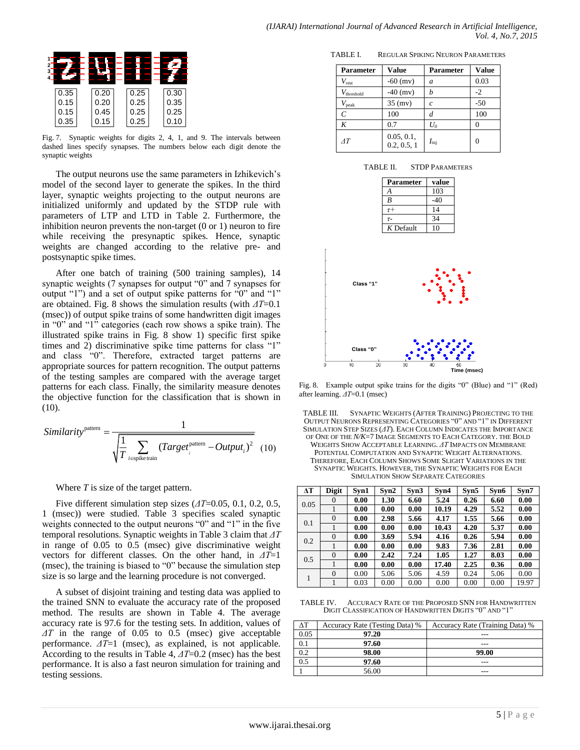| 0.35 | 0.20 | 0.25 | 0.30 |
|------|------|------|------|
| 0.15 | 0.20 | 0.25 | 0.35 |
| 0.15 | 0.45 | 0.25 | 0.25 |
| 0.35 | 0.15 | 0.25 | 0.10 |

Fig. 7. Synaptic weights for digits 2, 4, 1, and 9. The intervals between dashed lines specify synapses. The numbers below each digit denote the synaptic weights

The output neurons use the same parameters in Izhikevich's model of the second layer to generate the spikes. In the third layer, synaptic weights projecting to the output neurons are initialized uniformly and updated by the STDP rule with parameters of LTP and LTD in Table 2. Furthermore, the inhibition neuron prevents the non-target (0 or 1) neuron to fire while receiving the presynaptic spikes. Hence, synaptic weights are changed according to the relative pre- and postsynaptic spike times.

After one batch of training (500 training samples), 14 synaptic weights (7 synapses for output "0" and 7 synapses for output "1") and a set of output spike patterns for "0" and "1" are obtained. Fig. 8 shows the simulation results (with *ΔT*=0.1 (msec)) of output spike trains of some handwritten digit images in "0" and "1" categories (each row shows a spike train). The illustrated spike trains in Fig. 8 show 1) specific first spike times and 2) discriminative spike time patterns for class "1" and class "0". Therefore, extracted target patterns are appropriate sources for pattern recognition. The output patterns of the testing samples are compared with the average target patterns for each class. Finally, the similarity measure denotes the objective function for the classification that is shown in  $(10).$ 

Similarity<sup>pattern</sup> = 
$$
\frac{1}{\sqrt{\frac{1}{T} \sum_{i \in \text{spike train}} (Target_i^{\text{pattern}} - Output_i)^2}}
$$
(10)

Where *T* is size of the target pattern.

Five different simulation step sizes (*ΔT*=0.05, 0.1, 0.2, 0.5, 1 (msec)) were studied. Table 3 specifies scaled synaptic weights connected to the output neurons "0" and "1" in the five temporal resolutions. Synaptic weights in Table 3 claim that *ΔT* in range of 0.05 to 0.5 (msec) give discriminative weight vectors for different classes. On the other hand, in *ΔT*=1 (msec), the training is biased to "0" because the simulation step size is so large and the learning procedure is not converged.

A subset of disjoint training and testing data was applied to the trained SNN to evaluate the accuracy rate of the proposed method. The results are shown in Table 4. The average accuracy rate is 97.6 for the testing sets. In addition, values of *ΔT* in the range of 0.05 to 0.5 (msec) give acceptable performance. *ΔT*=1 (msec), as explained, is not applicable. According to the results in Table 4, *ΔT*=0.2 (msec) has the best performance. It is also a fast neuron simulation for training and testing sessions.

TABLE I. REGULAR SPIKING NEURON PARAMETERS

| Parameter              | Value                     | Parameter     | <b>Value</b> |
|------------------------|---------------------------|---------------|--------------|
| $V_{\rm rest}$         | $-60$ (mv)                | a             | 0.03         |
| $V_{\text{threshold}}$ | $-40$ (mv)                | h             | $-2$         |
| $V_{\rm peak}$         | $35$ (mv)                 | $\mathfrak c$ | $-50$        |
| $\mathcal{C}$          | 100                       | d             | 100          |
| K                      | 0.7                       | $U_{0}$       |              |
| AT                     | 0.05, 0.1,<br>0.2, 0.5, 1 | $I_{\rm ini}$ |              |

| TABLE II. | <b>STDP PARAMETERS</b> |
|-----------|------------------------|
|           |                        |

| <b>Parameter</b> | value |
|------------------|-------|
|                  | 103   |
| R                | -40   |
| $\tau +$         | 14    |
| $\tau$ -         | 34    |
| $K$ Default      | 10    |



Fig. 8. Example output spike trains for the digits "0" (Blue) and "1" (Red) after learning. *ΔT*=0.1 (msec)

TABLE III. SYNAPTIC WEIGHTS (AFTER TRAINING) PROJECTING TO THE OUTPUT NEURONS REPRESENTING CATEGORIES "0" AND "1" IN DIFFERENT SIMULATION STEP SIZES (*ΔT*). EACH COLUMN INDICATES THE IMPORTANCE OF ONE OF THE *N/K*=7 IMAGE SEGMENTS TO EACH CATEGORY. THE BOLD WEIGHTS SHOW ACCEPTABLE LEARNING. *ΔT* IMPACTS ON MEMBRANE POTENTIAL COMPUTATION AND SYNAPTIC WEIGHT ALTERNATIONS. THEREFORE, EACH COLUMN SHOWS SOME SLIGHT VARIATIONS IN THE SYNAPTIC WEIGHTS. HOWEVER, THE SYNAPTIC WEIGHTS FOR EACH SIMULATION SHOW SEPARATE CATEGORIES

| ΔT   | <b>Digit</b> | Svn1 | Svn2 | Syn3 | Syn4  | Syn5 | Syn6 | Syn7  |
|------|--------------|------|------|------|-------|------|------|-------|
| 0.05 | $\Omega$     | 0.00 | 1.30 | 6.60 | 5.24  | 0.26 | 6.60 | 0.00  |
|      |              | 0.00 | 0.00 | 0.00 | 10.19 | 4.29 | 5.52 | 0.00  |
| 0.1  | $\Omega$     | 0.00 | 2.98 | 5.66 | 4.17  | 1.55 | 5.66 | 0.00  |
|      |              | 0.00 | 0.00 | 0.00 | 10.43 | 4.20 | 5.37 | 0.00  |
| 0.2  | $\Omega$     | 0.00 | 3.69 | 5.94 | 4.16  | 0.26 | 5.94 | 0.00  |
|      |              | 0.00 | 0.00 | 0.00 | 9.83  | 7.36 | 2.81 | 0.00  |
| 0.5  | $\Omega$     | 0.00 | 2.42 | 7.24 | 1.05  | 1.27 | 8.03 | 0.00  |
|      |              | 0.00 | 0.00 | 0.00 | 17.40 | 2.25 | 0.36 | 0.00  |
|      | $\Omega$     | 0.00 | 5.06 | 5.06 | 4.59  | 0.24 | 5.06 | 0.00  |
|      |              | 0.03 | 0.00 | 0.00 | 0.00  | 0.00 | 0.00 | 19.97 |

TABLE IV. ACCURACY RATE OF THE PROPOSED SNN FOR HANDWRITTEN DIGIT CLASSIFICATION OF HANDWRITTEN DIGITS "0" AND "1"

| ΔТ   | Accuracy Rate (Testing Data) % | Accuracy Rate (Training Data) % |
|------|--------------------------------|---------------------------------|
| 0.05 | 97.20                          |                                 |
| 0.1  | 97.60                          |                                 |
| 0.2  | 98.00                          | 99.00                           |
| 0.5  | 97.60                          |                                 |
|      | 56.00                          |                                 |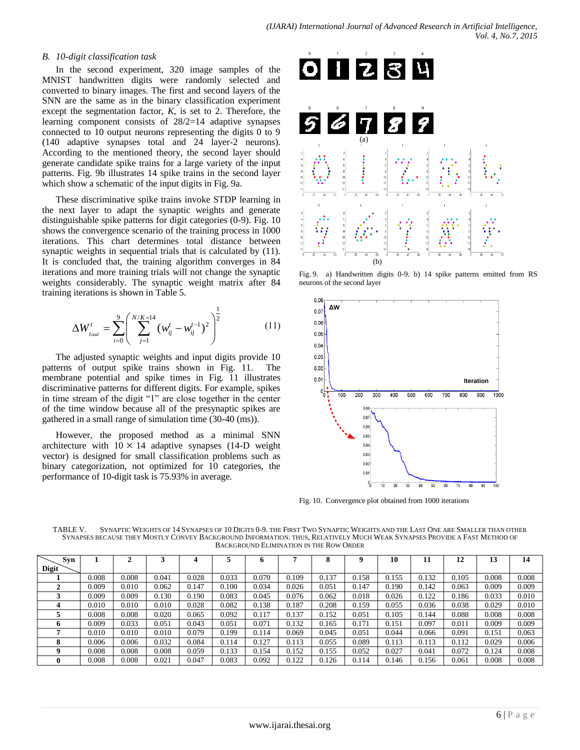### *B. 10-digit classification task*

In the second experiment, 320 image samples of the MNIST handwritten digits were randomly selected and converted to binary images. The first and second layers of the SNN are the same as in the binary classification experiment except the segmentation factor, *K*, is set to 2. Therefore, the learning component consists of 28/2=14 adaptive synapses connected to 10 output neurons representing the digits 0 to 9 (140 adaptive synapses total and 24 layer-2 neurons). According to the mentioned theory, the second layer should generate candidate spike trains for a large variety of the input patterns. Fig. 9b illustrates 14 spike trains in the second layer which show a schematic of the input digits in Fig. 9a.

These discriminative spike trains invoke STDP learning in the next layer to adapt the synaptic weights and generate distinguishable spike patterns for digit categories (0-9). Fig. 10 shows the convergence scenario of the training process in 1000 iterations. This chart determines total distance between synaptic weights in sequential trials that is calculated by  $(11)$ . It is concluded that, the training algorithm converges in 84 iterations and more training trials will not change the synaptic weights considerably. The synaptic weight matrix after 84 training iterations is shown in Table 5.

$$
\Delta W_{\text{Total}}^t = \sum_{i=0}^9 \left( \sum_{j=1}^{N/K=14} (w_{ij}^t - w_{ij}^{t-1})^2 \right)^{\frac{1}{2}}
$$
(11)

The adjusted synaptic weights and input digits provide 10 patterns of output spike trains shown in Fig. 11. The membrane potential and spike times in Fig. 11 illustrates discriminative patterns for different digits. For example, spikes in time stream of the digit "1" are close together in the center of the time window because all of the presynaptic spikes are gathered in a small range of simulation time (30-40 (ms)).

However, the proposed method as a minimal SNN architecture with  $10 \times 14$  adaptive synapses (14-D weight vector) is designed for small classification problems such as binary categorization, not optimized for 10 categories, the performance of 10-digit task is 75.93% in average.



Fig. 9. a) Handwritten digits 0-9. b) 14 spike patterns emitted from RS neurons of the second layer



Fig. 10. Convergence plot obtained from 1000 iterations

| TABLE V | SYNAPTIC WEIGHTS OF 14 SYNAPSES OF 10 DIGITS 0-9, THE FIRST TWO SYNAPTIC WEIGHTS AND THE LAST ONE ARE SMALLER THAN OTHER |
|---------|--------------------------------------------------------------------------------------------------------------------------|
|         | SYNAPSES BECAUSE THEY MOSTLY CONVEY BACKGROUND INFORMATION. THUS, RELATIVELY MUCH WEAK SYNAPSES PROVIDE A FAST METHOD OF |
|         | BACKGROUND ELIMINATION IN THE ROW ORDER                                                                                  |

| Syn          |       |       |       |       |       | n     |       | о     |       | 10    |       | 12<br>╹   | 13    | 14    |
|--------------|-------|-------|-------|-------|-------|-------|-------|-------|-------|-------|-------|-----------|-------|-------|
| <b>Digit</b> |       |       |       |       |       |       |       |       |       |       |       |           |       |       |
|              | 0.008 | 0.008 | 0.041 | 0.028 | 0.033 | 0.070 | 0.109 | 0.137 | 0.158 | 0.155 | 0.132 | 0.105     | 0.008 | 0.008 |
|              | 0.009 | 0.010 | 0.062 | 0.147 | 0.100 | 0.034 | 0.026 | 0.051 | 0.147 | 0.190 | 0.142 | 0.063     | 0.009 | 0.009 |
|              | 0.009 | 0.009 | 0.130 | 0.190 | 0.083 | 0.045 | 0.076 | 0.062 | 0.018 | 0.026 | 0.122 | 0.186     | 0.033 | 0.010 |
|              | 0.010 | 0.010 | 0.010 | 0.028 | 0.082 | 0.138 | 0.187 | 0.208 | 0.159 | 0.055 | 0.036 | 0.038     | 0.029 | 0.010 |
|              | 0.008 | 0.008 | 0.020 | 0.065 | 0.092 | 0.117 | 0.137 | 0.152 | 0.051 | 0.105 | 0.144 | 0.088     | 0.008 | 0.008 |
| n            | 0.009 | 0.033 | 0.051 | 0.043 | 0.051 | 0.071 | 0.132 | 0.165 | 0.171 | 0.151 | 0.097 | $0.011\,$ | 0.009 | 0.009 |
|              | 0.010 | 0.010 | 0.010 | 0.079 | 0.199 | 0.114 | 0.069 | 0.045 | 0.051 | 0.044 | 0.066 | 0.091     | 0.151 | 0.063 |
|              | 0.006 | 0.006 | 0.032 | 0.084 | 0.114 | 0.127 | 0.113 | 0.055 | 0.089 | 0.113 | 0.113 | 0.112     | 0.029 | 0.006 |
|              | 0.008 | 0.008 | 0.008 | 0.059 | 0.133 | 0.154 | 0.152 | 0.155 | 0.052 | 0.027 | 0.041 | 0.072     | 0.124 | 0.008 |
|              | 0.008 | 0.008 | 0.021 | 0.047 | 0.083 | 0.092 | 0.122 | 0.126 | 0.114 | 0.146 | 0.156 | 0.061     | 0.008 | 0.008 |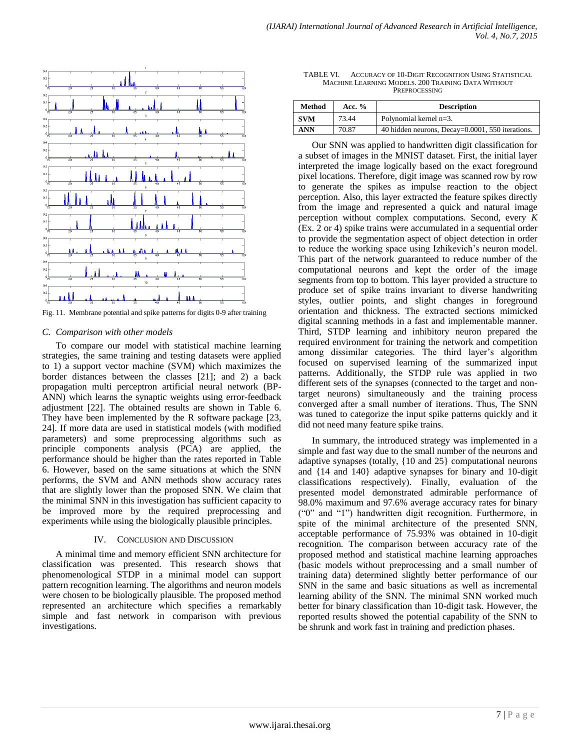

Fig. 11. Membrane potential and spike patterns for digits 0-9 after training

## *C. Comparison with other models*

To compare our model with statistical machine learning strategies, the same training and testing datasets were applied to 1) a support vector machine (SVM) which maximizes the border distances between the classes [21]; and 2) a back propagation multi perceptron artificial neural network (BP-ANN) which learns the synaptic weights using error-feedback adjustment [22]. The obtained results are shown in Table 6. They have been implemented by the R software package [23, 24]. If more data are used in statistical models (with modified parameters) and some preprocessing algorithms such as principle components analysis (PCA) are applied, the performance should be higher than the rates reported in Table 6. However, based on the same situations at which the SNN performs, the SVM and ANN methods show accuracy rates that are slightly lower than the proposed SNN. We claim that the minimal SNN in this investigation has sufficient capacity to be improved more by the required preprocessing and experiments while using the biologically plausible principles.

#### IV. CONCLUSION AND DISCUSSION

A minimal time and memory efficient SNN architecture for classification was presented. This research shows that phenomenological STDP in a minimal model can support pattern recognition learning. The algorithms and neuron models were chosen to be biologically plausible. The proposed method represented an architecture which specifies a remarkably simple and fast network in comparison with previous investigations.

TABLE VI. ACCURACY OF 10-DIGIT RECOGNITION USING STATISTICAL MACHINE LEARNING MODELS. 200 TRAINING DATA WITHOUT PREPROCESSING

| Method<br>Acc. $%$ |       | <b>Description</b>                               |
|--------------------|-------|--------------------------------------------------|
| <b>SVM</b>         | 73.44 | Polynomial kernel $n=3$ .                        |
| <b>ANN</b>         | 70.87 | 40 hidden neurons, Decay=0.0001, 550 iterations. |

Our SNN was applied to handwritten digit classification for a subset of images in the MNIST dataset. First, the initial layer interpreted the image logically based on the exact foreground pixel locations. Therefore, digit image was scanned row by row to generate the spikes as impulse reaction to the object perception. Also, this layer extracted the feature spikes directly from the image and represented a quick and natural image perception without complex computations. Second, every *K* (Ex. 2 or 4) spike trains were accumulated in a sequential order to provide the segmentation aspect of object detection in order to reduce the working space using Izhikevich's neuron model. This part of the network guaranteed to reduce number of the computational neurons and kept the order of the image segments from top to bottom. This layer provided a structure to produce set of spike trains invariant to diverse handwriting styles, outlier points, and slight changes in foreground orientation and thickness. The extracted sections mimicked digital scanning methods in a fast and implementable manner. Third, STDP learning and inhibitory neuron prepared the required environment for training the network and competition among dissimilar categories. The third layer's algorithm focused on supervised learning of the summarized input patterns. Additionally, the STDP rule was applied in two different sets of the synapses (connected to the target and nontarget neurons) simultaneously and the training process converged after a small number of iterations. Thus, The SNN was tuned to categorize the input spike patterns quickly and it did not need many feature spike trains.

In summary, the introduced strategy was implemented in a simple and fast way due to the small number of the neurons and adaptive synapses (totally, {10 and 25} computational neurons and {14 and 140} adaptive synapses for binary and 10-digit classifications respectively). Finally, evaluation of the presented model demonstrated admirable performance of 98.0% maximum and 97.6% average accuracy rates for binary ("0" and "1") handwritten digit recognition. Furthermore, in spite of the minimal architecture of the presented SNN, acceptable performance of 75.93% was obtained in 10-digit recognition. The comparison between accuracy rate of the proposed method and statistical machine learning approaches (basic models without preprocessing and a small number of training data) determined slightly better performance of our SNN in the same and basic situations as well as incremental learning ability of the SNN. The minimal SNN worked much better for binary classification than 10-digit task. However, the reported results showed the potential capability of the SNN to be shrunk and work fast in training and prediction phases.